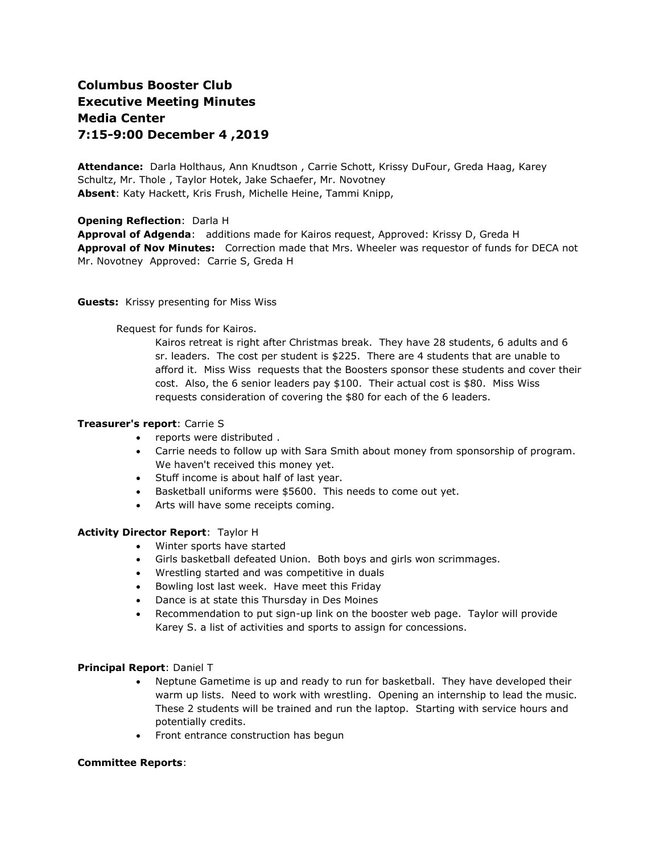# **Columbus Booster Club Executive Meeting Minutes Media Center 7:15-9:00 December 4 ,2019**

**Attendance:** Darla Holthaus, Ann Knudtson , Carrie Schott, Krissy DuFour, Greda Haag, Karey Schultz, Mr. Thole , Taylor Hotek, Jake Schaefer, Mr. Novotney **Absent**: Katy Hackett, Kris Frush, Michelle Heine, Tammi Knipp,

# **Opening Reflection**: Darla H

**Approval of Adgenda**: additions made for Kairos request, Approved: Krissy D, Greda H **Approval of Nov Minutes:** Correction made that Mrs. Wheeler was requestor of funds for DECA not Mr. Novotney Approved: Carrie S, Greda H

## **Guests:** Krissy presenting for Miss Wiss

Request for funds for Kairos.

Kairos retreat is right after Christmas break. They have 28 students, 6 adults and 6 sr. leaders. The cost per student is \$225. There are 4 students that are unable to afford it. Miss Wiss requests that the Boosters sponsor these students and cover their cost. Also, the 6 senior leaders pay \$100. Their actual cost is \$80. Miss Wiss requests consideration of covering the \$80 for each of the 6 leaders.

# **Treasurer's report**: Carrie S

- reports were distributed.
- Carrie needs to follow up with Sara Smith about money from sponsorship of program. We haven't received this money yet.
- Stuff income is about half of last year.
- Basketball uniforms were \$5600. This needs to come out yet.
- Arts will have some receipts coming.

#### **Activity Director Report**: Taylor H

- Winter sports have started
- Girls basketball defeated Union. Both boys and girls won scrimmages.
- Wrestling started and was competitive in duals
- Bowling lost last week. Have meet this Friday
- Dance is at state this Thursday in Des Moines
- Recommendation to put sign-up link on the booster web page. Taylor will provide Karey S. a list of activities and sports to assign for concessions.

# **Principal Report**: Daniel T

- Neptune Gametime is up and ready to run for basketball. They have developed their warm up lists. Need to work with wrestling. Opening an internship to lead the music. These 2 students will be trained and run the laptop. Starting with service hours and potentially credits.
- Front entrance construction has begun

#### **Committee Reports**: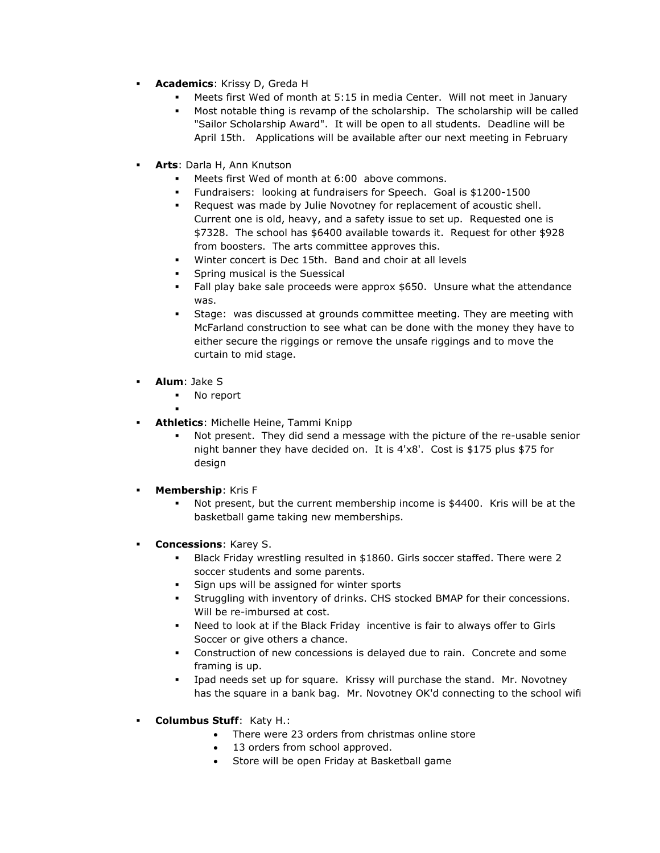- **Academics**: Krissy D, Greda H
	- Meets first Wed of month at 5:15 in media Center. Will not meet in January
	- Most notable thing is revamp of the scholarship. The scholarship will be called "Sailor Scholarship Award". It will be open to all students. Deadline will be April 15th. Applications will be available after our next meeting in February
- **Arts**: Darla H, Ann Knutson
	- Meets first Wed of month at 6:00 above commons.
	- Fundraisers: looking at fundraisers for Speech. Goal is \$1200-1500
	- Request was made by Julie Novotney for replacement of acoustic shell. Current one is old, heavy, and a safety issue to set up. Requested one is \$7328. The school has \$6400 available towards it. Request for other \$928 from boosters. The arts committee approves this.
	- Winter concert is Dec 15th. Band and choir at all levels
	- Spring musical is the Suessical
	- Fall play bake sale proceeds were approx \$650. Unsure what the attendance was.
	- Stage: was discussed at grounds committee meeting. They are meeting with McFarland construction to see what can be done with the money they have to either secure the riggings or remove the unsafe riggings and to move the curtain to mid stage.
- **Alum**: Jake S
	- No report
- . **Athletics**: Michelle Heine, Tammi Knipp
	- Not present. They did send a message with the picture of the re-usable senior night banner they have decided on. It is 4'x8'. Cost is \$175 plus \$75 for design
- **Membership**: Kris F
	- Not present, but the current membership income is \$4400. Kris will be at the basketball game taking new memberships.
- **Concessions**: Karey S.
	- Black Friday wrestling resulted in \$1860. Girls soccer staffed. There were 2 soccer students and some parents.
	- Sign ups will be assigned for winter sports
	- Struggling with inventory of drinks. CHS stocked BMAP for their concessions. Will be re-imbursed at cost.
	- Need to look at if the Black Friday incentive is fair to always offer to Girls Soccer or give others a chance.
	- Construction of new concessions is delayed due to rain. Concrete and some framing is up.
	- Ipad needs set up for square. Krissy will purchase the stand. Mr. Novotney has the square in a bank bag. Mr. Novotney OK'd connecting to the school wifi
- **Columbus Stuff**: Katy H.:
	- There were 23 orders from christmas online store
	- 13 orders from school approved.
	- Store will be open Friday at Basketball game